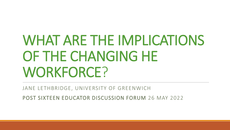# WHAT ARE THE IMPLICATIONS OF THE CHANGING HE WORKFORCE?

JANE LETHBRIDGE, UNIVERSITY OF GREENWICH

POST SIXTEEN EDUCATOR DISCUSSION FORUM 26 MAY 2022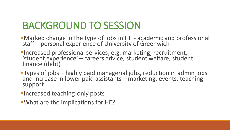#### BACKGROUND TO SESSION

- **I**Marked change in the type of jobs in HE academic and professional staff – personal experience of University of Greenwich
- ▪Increased professional services, e.g. marketing, recruitment, 'student experience' – careers advice, student welfare, student finance (debt)
- **Types of jobs** highly paid managerial jobs, reduction in admin jobs and increase in lower paid assistants – marketing, events, teaching support
- **Increased teaching-only posts**
- **. What are the implications for HE?**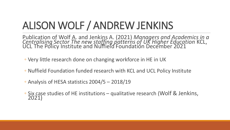## ALISON WOLF / ANDREW JENKINS

Publication of Wolf A. and Jenkins A. (2021) *Managers and Academics in a Centralising Sector The new staffing patterns of UK Higher Education* KCL, UCL The Policy Institute and Nuffield Foundation December 2021

- Very little research done on changing workforce in HE in UK
- Nuffield Foundation funded research with KCL and UCL Policy Institute
- Analysis of HESA statistics 2004/5 2018/19
- Six case studies of HE institutions qualitative research (Wolf & Jenkins, 2021)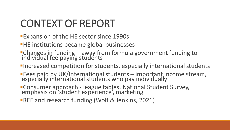## CONTEXT OF REPORT

- ■Expansion of the HE sector since 1990s
- **EXA:** The institutions became global businesses
- ▪Changes in funding away from formula government funding to individual fee paying students
- **Increased competition for students, especially international students**
- **Fees paid by UK/International students important income stream,** especially international students who pay individually
- **Consumer approach league tables, National Student Survey,** emphasis on 'student experience', marketing
- **REF and research funding (Wolf & Jenkins, 2021)**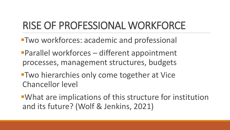#### RISE OF PROFESSIONAL WORKFORCE

- **Two workforces: academic and professional**
- **Parallel workforces different appointment** processes, management structures, budgets
- **Two hierarchies only come together at Vice** Chancellor level
- What are implications of this structure for institution and its future? (Wolf & Jenkins, 2021)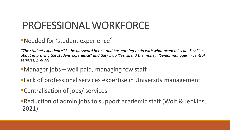## PROFESSIONAL WORKFORCE

▪Needed for 'student experience'

*"The student experience" is the buzzword here – and has nothing to do with what academics do. Say "it's about improving the student experience" and they'll go 'Yes, spend the money' (Senior manager in central services, pre-92)* 

- **I**Manager jobs well paid, managing few staff
- **ELack of professional services expertise in University management**
- Centralisation of jobs/ services
- **Reduction of admin jobs to support academic staff (Wolf & Jenkins,** 2021)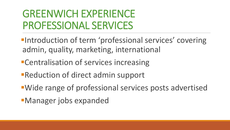#### GREENWICH EXPERIENCE PROFESSIONAL SERVICES

- **Introduction of term 'professional services' covering** admin, quality, marketing, international
- **Execute 2 Figure 2 Figure 1 Figure 1 Figure 1 Figure 2 Figure 2 Figure 2 Figure 2 Figure 2 Figure 2 Figure 2 Figure 2 Figure 2 Figure 2 Figure 2 Figure 2 Figure 2 Figure 2 Figure 2 Figure 2 Figure 2 Figure 2 Figure 2 Figu**
- **Example 2 Figure 1 Figure 1 Figure 1 Figure 1 Figure 1 Figure 1 Figure 1 Figure 1 Figure 1 Figure 1 Figure 1 Figure 1 Figure 1 Figure 1 Figure 1 Figure 1 Figure 1 Figure 1 Figure 1 Figure 1 Figure 1 Figure 1 Figure 1 Figu**
- ▪Wide range of professional services posts advertised
- **EManager jobs expanded**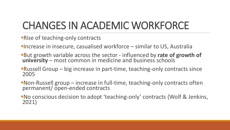## CHANGES IN ACADEMIC WORKFORCE

- **Rise of teaching-only contracts**
- **Increase in insecure, casualised workforce similar to US, Australia**
- **But growth variable across the sector influenced by rate of growth of** university – most common in medicine and business schools
- **Russell Group big increase in part-time, teaching-only contracts since** 2005
- Non-Russell group increase in full-time, teaching-only contracts often permanent/ open-ended contracts
- No conscious decision to adopt 'teaching-only' contracts (Wolf & Jenkins, 2021)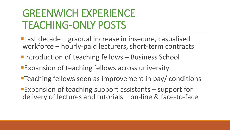#### GREENWICH EXPERIENCE TEACHING-ONLY POSTS

- **Last decade gradual increase in insecure, casualised** workforce – hourly-paid lecturers, short-term contracts
- **Introduction of teaching fellows Business School**
- **Expansion of teaching fellows across university**
- **Teaching fellows seen as improvement in pay/ conditions**
- **Expansion of teaching support assistants support for** delivery of lectures and tutorials – on-line & face-to-face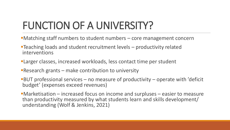## FUNCTION OF A UNIVERSITY?

- **I** Matching staff numbers to student numbers core management concern
- ▪Teaching loads and student recruitment levels productivity related interventions
- **ELarger classes, increased workloads, less contact time per student**
- **Research grants make contribution to university**
- $-BUT$  professional services no measure of productivity operate with 'deficit budget' (expenses exceed revenues)
- **I**Marketisation increased focus on income and surpluses easier to measure than productivity measured by what students learn and skills development/ understanding (Wolf & Jenkins, 2021)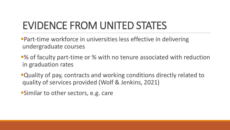## EVIDENCE FROM UNITED STATES

- **Part-time workforce in universities less effective in delivering** undergraduate courses
- ■% of faculty part-time or % with no tenure associated with reduction in graduation rates
- **•Quality of pay, contracts and working conditions directly related to** quality of services provided (Wolf & Jenkins, 2021)
- **Similar to other sectors, e.g. care**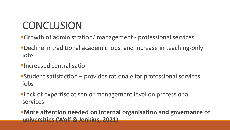## **CONCLUSION**

- **•Growth of administration/ management professional services**
- ■Decline in traditional academic jobs and increase in teaching-only jobs
- *Elncreased centralisation*
- ■Student satisfaction provides rationale for professional services jobs
- **ELack of expertise at senior management level on professional** services

*EXOre attention needed on internal organisation and governance of* **universities (Wolf & Jenkins, 2021)**